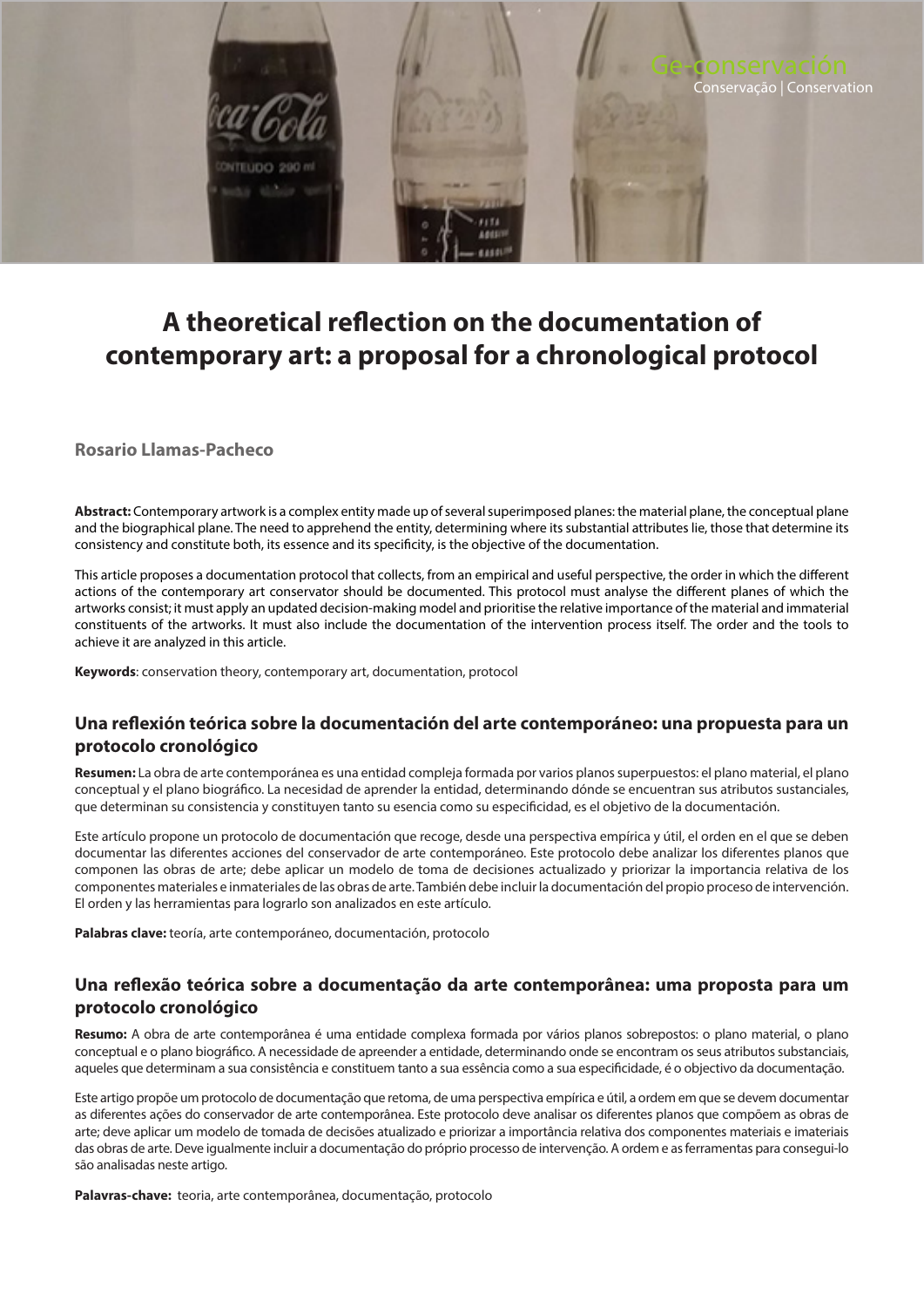

# **A theoretical reflection on the documentation of contemporary art: a proposal for a chronological protocol**

**Rosario Llamas-Pacheco**

**Abstract:** Contemporary artwork is a complex entity made up of several superimposed planes: the material plane, the conceptual plane and the biographical plane. The need to apprehend the entity, determining where its substantial attributes lie, those that determine its consistency and constitute both, its essence and its specificity, is the objective of the documentation.

This article proposes a documentation protocol that collects, from an empirical and useful perspective, the order in which the different actions of the contemporary art conservator should be documented. This protocol must analyse the different planes of which the artworks consist; it must apply an updated decision-making model and prioritise the relative importance of the material and immaterial constituents of the artworks. It must also include the documentation of the intervention process itself. The order and the tools to achieve it are analyzed in this article.

**Keywords**: conservation theory, contemporary art, documentation, protocol

# **Una reflexión teórica sobre la documentación del arte contemporáneo: una propuesta para un protocolo cronológico**

**Resumen:** La obra de arte contemporánea es una entidad compleja formada por varios planos superpuestos: el plano material, el plano conceptual y el plano biográfico. La necesidad de aprender la entidad, determinando dónde se encuentran sus atributos sustanciales, que determinan su consistencia y constituyen tanto su esencia como su especificidad, es el objetivo de la documentación.

Este artículo propone un protocolo de documentación que recoge, desde una perspectiva empírica y útil, el orden en el que se deben documentar las diferentes acciones del conservador de arte contemporáneo. Este protocolo debe analizar los diferentes planos que componen las obras de arte; debe aplicar un modelo de toma de decisiones actualizado y priorizar la importancia relativa de los componentes materiales e inmateriales de las obras de arte. También debe incluir la documentación del propio proceso de intervención. El orden y las herramientas para lograrlo son analizados en este artículo.

**Palabras clave:** teoría, arte contemporáneo, documentación, protocolo

# **Una reflexão teórica sobre a documentação da arte contemporânea: uma proposta para um protocolo cronológico**

**Resumo:** A obra de arte contemporânea é uma entidade complexa formada por vários planos sobrepostos: o plano material, o plano conceptual e o plano biográfico. A necessidade de apreender a entidade, determinando onde se encontram os seus atributos substanciais, aqueles que determinam a sua consistência e constituem tanto a sua essência como a sua especificidade, é o objectivo da documentação.

Este artigo propõe um protocolo de documentação que retoma, de uma perspectiva empírica e útil, a ordem em que se devem documentar as diferentes ações do conservador de arte contemporânea. Este protocolo deve analisar os diferentes planos que compõem as obras de arte; deve aplicar um modelo de tomada de decisões atualizado e priorizar a importância relativa dos componentes materiais e imateriais das obras de arte. Deve igualmente incluir a documentação do próprio processo de intervenção. A ordem e as ferramentas para consegui-lo são analisadas neste artigo.

**Palavras-chave:** teoria, arte contemporânea, documentação, protocolo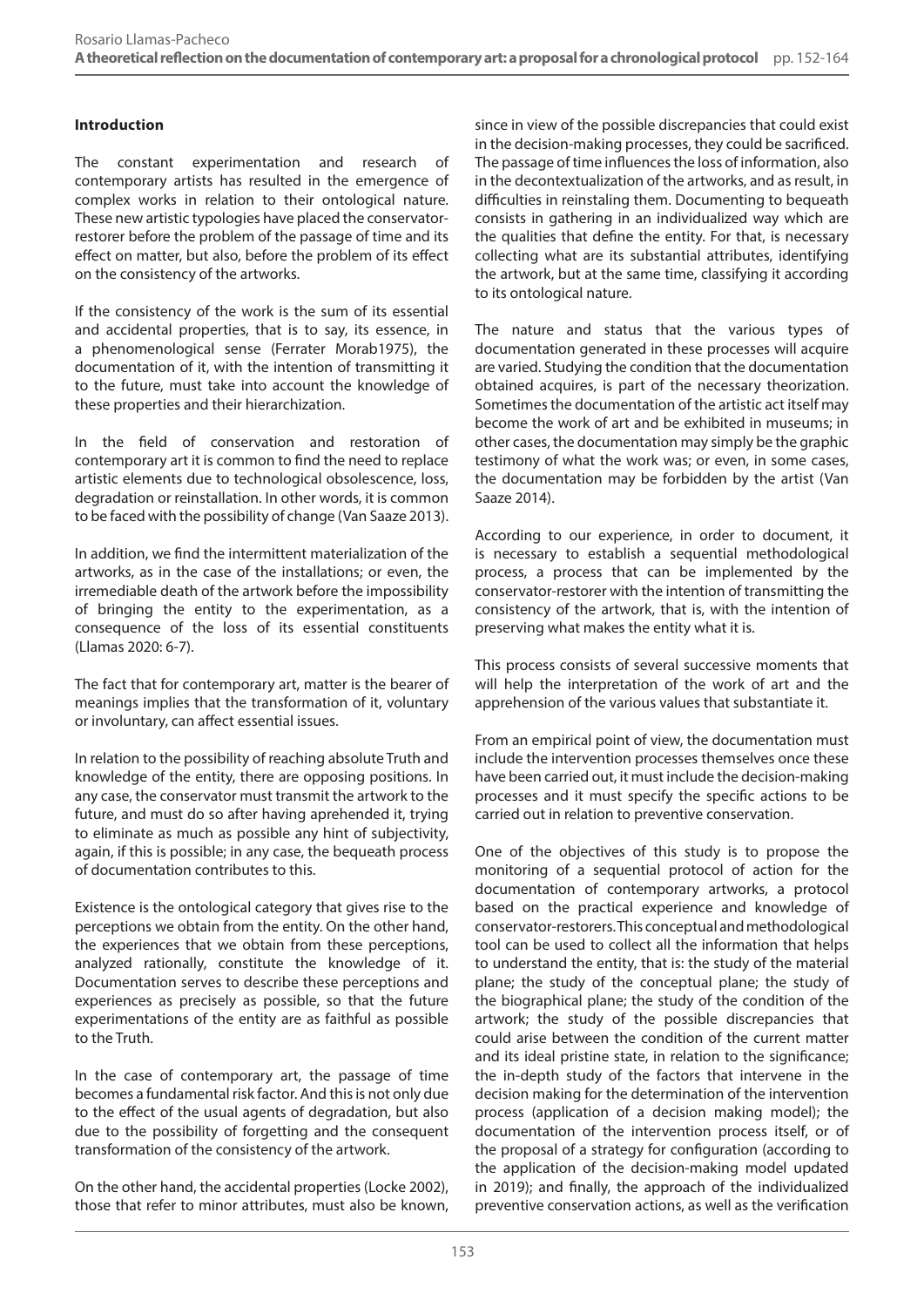# **Introduction**

The constant experimentation and research of contemporary artists has resulted in the emergence of complex works in relation to their ontological nature. These new artistic typologies have placed the conservatorrestorer before the problem of the passage of time and its effect on matter, but also, before the problem of its effect on the consistency of the artworks.

If the consistency of the work is the sum of its essential and accidental properties, that is to say, its essence, in a phenomenological sense (Ferrater Morab1975), the documentation of it, with the intention of transmitting it to the future, must take into account the knowledge of these properties and their hierarchization.

In the field of conservation and restoration of contemporary art it is common to find the need to replace artistic elements due to technological obsolescence, loss, degradation or reinstallation. In other words, it is common to be faced with the possibility of change (Van Saaze 2013).

In addition, we find the intermittent materialization of the artworks, as in the case of the installations; or even, the irremediable death of the artwork before the impossibility of bringing the entity to the experimentation, as a consequence of the loss of its essential constituents (Llamas 2020: 6-7).

The fact that for contemporary art, matter is the bearer of meanings implies that the transformation of it, voluntary or involuntary, can affect essential issues.

In relation to the possibility of reaching absolute Truth and knowledge of the entity, there are opposing positions. In any case, the conservator must transmit the artwork to the future, and must do so after having aprehended it, trying to eliminate as much as possible any hint of subjectivity, again, if this is possible; in any case, the bequeath process of documentation contributes to this.

Existence is the ontological category that gives rise to the perceptions we obtain from the entity. On the other hand, the experiences that we obtain from these perceptions, analyzed rationally, constitute the knowledge of it. Documentation serves to describe these perceptions and experiences as precisely as possible, so that the future experimentations of the entity are as faithful as possible to the Truth.

In the case of contemporary art, the passage of time becomes a fundamental risk factor. And this is not only due to the effect of the usual agents of degradation, but also due to the possibility of forgetting and the consequent transformation of the consistency of the artwork.

On the other hand, the accidental properties (Locke 2002), those that refer to minor attributes, must also be known, since in view of the possible discrepancies that could exist in the decision-making processes, they could be sacrificed. The passage of time influences the loss of information, also in the decontextualization of the artworks, and as result, in difficulties in reinstaling them. Documenting to bequeath consists in gathering in an individualized way which are the qualities that define the entity. For that, is necessary collecting what are its substantial attributes, identifying the artwork, but at the same time, classifying it according to its ontological nature.

The nature and status that the various types of documentation generated in these processes will acquire are varied. Studying the condition that the documentation obtained acquires, is part of the necessary theorization. Sometimes the documentation of the artistic act itself may become the work of art and be exhibited in museums; in other cases, the documentation may simply be the graphic testimony of what the work was; or even, in some cases, the documentation may be forbidden by the artist (Van Saaze 2014).

According to our experience, in order to document, it is necessary to establish a sequential methodological process, a process that can be implemented by the conservator-restorer with the intention of transmitting the consistency of the artwork, that is, with the intention of preserving what makes the entity what it is.

This process consists of several successive moments that will help the interpretation of the work of art and the apprehension of the various values that substantiate it.

From an empirical point of view, the documentation must include the intervention processes themselves once these have been carried out, it must include the decision-making processes and it must specify the specific actions to be carried out in relation to preventive conservation.

One of the objectives of this study is to propose the monitoring of a sequential protocol of action for the documentation of contemporary artworks, a protocol based on the practical experience and knowledge of conservator-restorers. This conceptual and methodological tool can be used to collect all the information that helps to understand the entity, that is: the study of the material plane; the study of the conceptual plane; the study of the biographical plane; the study of the condition of the artwork; the study of the possible discrepancies that could arise between the condition of the current matter and its ideal pristine state, in relation to the significance; the in-depth study of the factors that intervene in the decision making for the determination of the intervention process (application of a decision making model); the documentation of the intervention process itself, or of the proposal of a strategy for configuration (according to the application of the decision-making model updated in 2019); and finally, the approach of the individualized preventive conservation actions, as well as the verification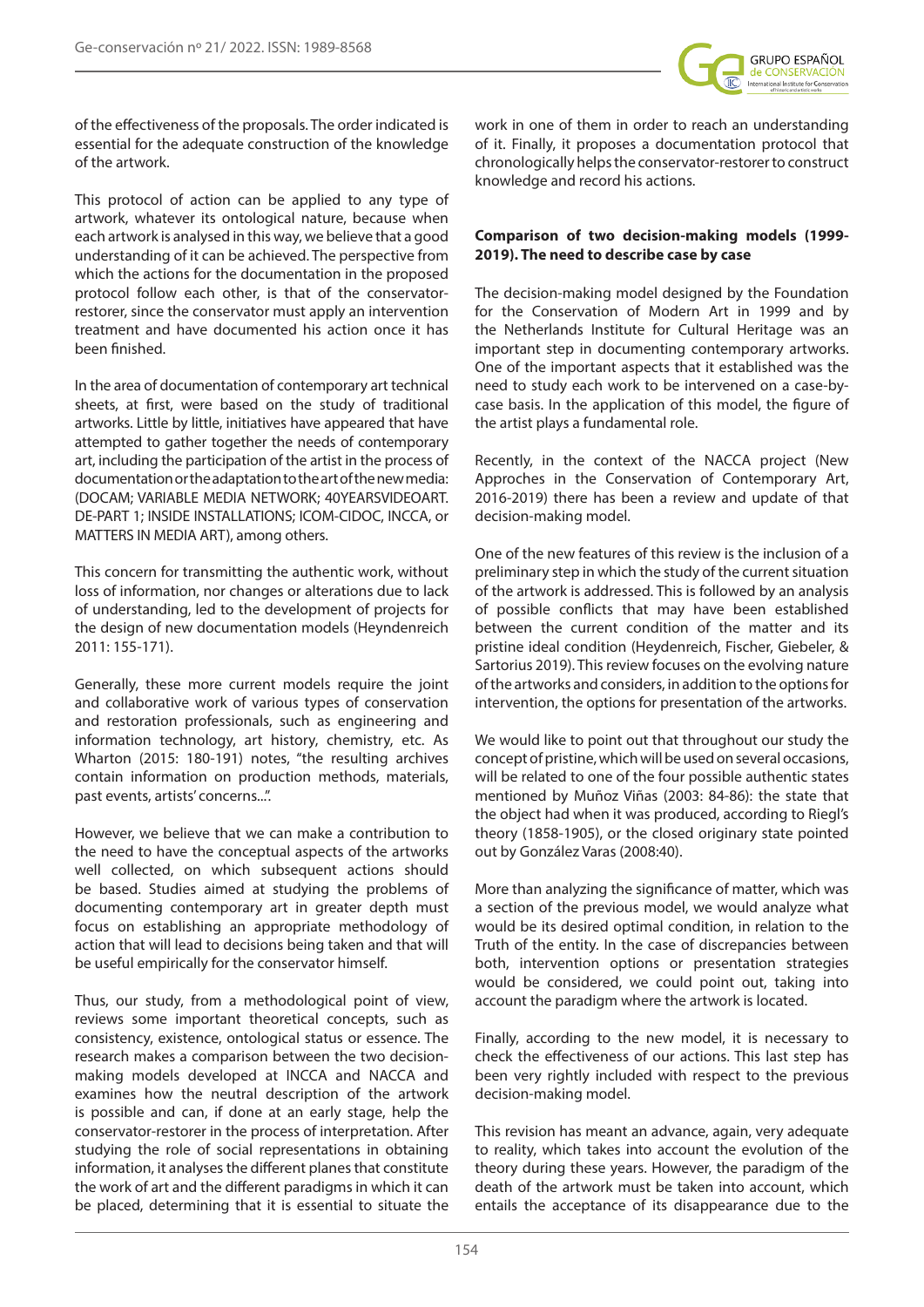

of the effectiveness of the proposals. The order indicated is essential for the adequate construction of the knowledge of the artwork.

This protocol of action can be applied to any type of artwork, whatever its ontological nature, because when each artwork is analysed in this way, we believe that a good understanding of it can be achieved. The perspective from which the actions for the documentation in the proposed protocol follow each other, is that of the conservatorrestorer, since the conservator must apply an intervention treatment and have documented his action once it has been finished.

In the area of documentation of contemporary art technical sheets, at first, were based on the study of traditional artworks. Little by little, initiatives have appeared that have attempted to gather together the needs of contemporary art, including the participation of the artist in the process of documentation or the adaptation to the art of the new media: (DOCAM; VARIABLE MEDIA NETWORK; 40YEARSVIDEOART. DE-PART 1; INSIDE INSTALLATIONS; ICOM-CIDOC, INCCA, or MATTERS IN MEDIA ART), among others.

This concern for transmitting the authentic work, without loss of information, nor changes or alterations due to lack of understanding, led to the development of projects for the design of new documentation models (Heyndenreich 2011: 155-171).

Generally, these more current models require the joint and collaborative work of various types of conservation and restoration professionals, such as engineering and information technology, art history, chemistry, etc. As Wharton (2015: 180-191) notes, "the resulting archives contain information on production methods, materials, past events, artists' concerns...".

However, we believe that we can make a contribution to the need to have the conceptual aspects of the artworks well collected, on which subsequent actions should be based. Studies aimed at studying the problems of documenting contemporary art in greater depth must focus on establishing an appropriate methodology of action that will lead to decisions being taken and that will be useful empirically for the conservator himself.

Thus, our study, from a methodological point of view, reviews some important theoretical concepts, such as consistency, existence, ontological status or essence. The research makes a comparison between the two decisionmaking models developed at INCCA and NACCA and examines how the neutral description of the artwork is possible and can, if done at an early stage, help the conservator-restorer in the process of interpretation. After studying the role of social representations in obtaining information, it analyses the different planes that constitute the work of art and the different paradigms in which it can be placed, determining that it is essential to situate the

work in one of them in order to reach an understanding of it. Finally, it proposes a documentation protocol that chronologically helps the conservator-restorer to construct knowledge and record his actions.

## **Comparison of two decision-making models (1999- 2019). The need to describe case by case**

The decision-making model designed by the Foundation for the Conservation of Modern Art in 1999 and by the Netherlands Institute for Cultural Heritage was an important step in documenting contemporary artworks. One of the important aspects that it established was the need to study each work to be intervened on a case-bycase basis. In the application of this model, the figure of the artist plays a fundamental role.

Recently, in the context of the NACCA project (New Approches in the Conservation of Contemporary Art, 2016-2019) there has been a review and update of that decision-making model.

One of the new features of this review is the inclusion of a preliminary step in which the study of the current situation of the artwork is addressed. This is followed by an analysis of possible conflicts that may have been established between the current condition of the matter and its pristine ideal condition (Heydenreich, Fischer, Giebeler, & Sartorius 2019). This review focuses on the evolving nature of the artworks and considers, in addition to the options for intervention, the options for presentation of the artworks.

We would like to point out that throughout our study the concept of pristine, which will be used on several occasions, will be related to one of the four possible authentic states mentioned by Muñoz Viñas (2003: 84-86): the state that the object had when it was produced, according to Riegl's theory (1858-1905), or the closed originary state pointed out by González Varas (2008:40).

More than analyzing the significance of matter, which was a section of the previous model, we would analyze what would be its desired optimal condition, in relation to the Truth of the entity. In the case of discrepancies between both, intervention options or presentation strategies would be considered, we could point out, taking into account the paradigm where the artwork is located.

Finally, according to the new model, it is necessary to check the effectiveness of our actions. This last step has been very rightly included with respect to the previous decision-making model.

This revision has meant an advance, again, very adequate to reality, which takes into account the evolution of the theory during these years. However, the paradigm of the death of the artwork must be taken into account, which entails the acceptance of its disappearance due to the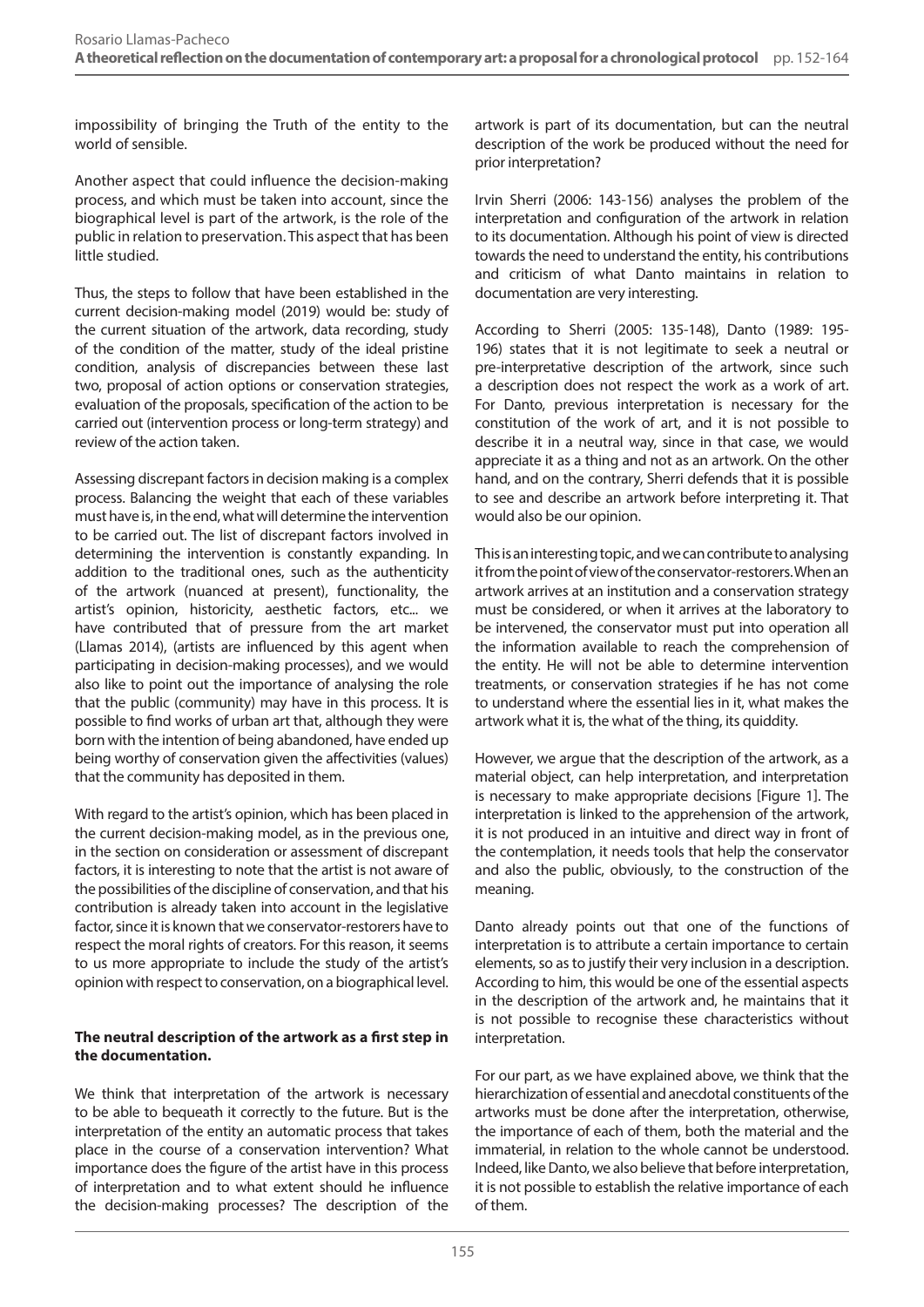impossibility of bringing the Truth of the entity to the world of sensible.

Another aspect that could influence the decision-making process, and which must be taken into account, since the biographical level is part of the artwork, is the role of the public in relation to preservation. This aspect that has been little studied.

Thus, the steps to follow that have been established in the current decision-making model (2019) would be: study of the current situation of the artwork, data recording, study of the condition of the matter, study of the ideal pristine condition, analysis of discrepancies between these last two, proposal of action options or conservation strategies, evaluation of the proposals, specification of the action to be carried out (intervention process or long-term strategy) and review of the action taken.

Assessing discrepant factors in decision making is a complex process. Balancing the weight that each of these variables must have is, in the end, what will determine the intervention to be carried out. The list of discrepant factors involved in determining the intervention is constantly expanding. In addition to the traditional ones, such as the authenticity of the artwork (nuanced at present), functionality, the artist's opinion, historicity, aesthetic factors, etc... we have contributed that of pressure from the art market (Llamas 2014), (artists are influenced by this agent when participating in decision-making processes), and we would also like to point out the importance of analysing the role that the public (community) may have in this process. It is possible to find works of urban art that, although they were born with the intention of being abandoned, have ended up being worthy of conservation given the affectivities (values) that the community has deposited in them.

With regard to the artist's opinion, which has been placed in the current decision-making model, as in the previous one, in the section on consideration or assessment of discrepant factors, it is interesting to note that the artist is not aware of the possibilities of the discipline of conservation, and that his contribution is already taken into account in the legislative factor, since it is known that we conservator-restorers have to respect the moral rights of creators. For this reason, it seems to us more appropriate to include the study of the artist's opinion with respect to conservation, on a biographical level.

## **The neutral description of the artwork as a first step in the documentation.**

We think that interpretation of the artwork is necessary to be able to bequeath it correctly to the future. But is the interpretation of the entity an automatic process that takes place in the course of a conservation intervention? What importance does the figure of the artist have in this process of interpretation and to what extent should he influence the decision-making processes? The description of the

artwork is part of its documentation, but can the neutral description of the work be produced without the need for prior interpretation?

Irvin Sherri (2006: 143-156) analyses the problem of the interpretation and configuration of the artwork in relation to its documentation. Although his point of view is directed towards the need to understand the entity, his contributions and criticism of what Danto maintains in relation to documentation are very interesting.

According to Sherri (2005: 135-148), Danto (1989: 195- 196) states that it is not legitimate to seek a neutral or pre-interpretative description of the artwork, since such a description does not respect the work as a work of art. For Danto, previous interpretation is necessary for the constitution of the work of art, and it is not possible to describe it in a neutral way, since in that case, we would appreciate it as a thing and not as an artwork. On the other hand, and on the contrary, Sherri defends that it is possible to see and describe an artwork before interpreting it. That would also be our opinion.

This is an interesting topic, and we can contribute to analysing it from the point of view of the conservator-restorers. When an artwork arrives at an institution and a conservation strategy must be considered, or when it arrives at the laboratory to be intervened, the conservator must put into operation all the information available to reach the comprehension of the entity. He will not be able to determine intervention treatments, or conservation strategies if he has not come to understand where the essential lies in it, what makes the artwork what it is, the what of the thing, its quiddity.

However, we argue that the description of the artwork, as a material object, can help interpretation, and interpretation is necessary to make appropriate decisions [Figure 1]. The interpretation is linked to the apprehension of the artwork, it is not produced in an intuitive and direct way in front of the contemplation, it needs tools that help the conservator and also the public, obviously, to the construction of the meaning.

Danto already points out that one of the functions of interpretation is to attribute a certain importance to certain elements, so as to justify their very inclusion in a description. According to him, this would be one of the essential aspects in the description of the artwork and, he maintains that it is not possible to recognise these characteristics without interpretation.

For our part, as we have explained above, we think that the hierarchization of essential and anecdotal constituents of the artworks must be done after the interpretation, otherwise, the importance of each of them, both the material and the immaterial, in relation to the whole cannot be understood. Indeed, like Danto, we also believe that before interpretation, it is not possible to establish the relative importance of each of them.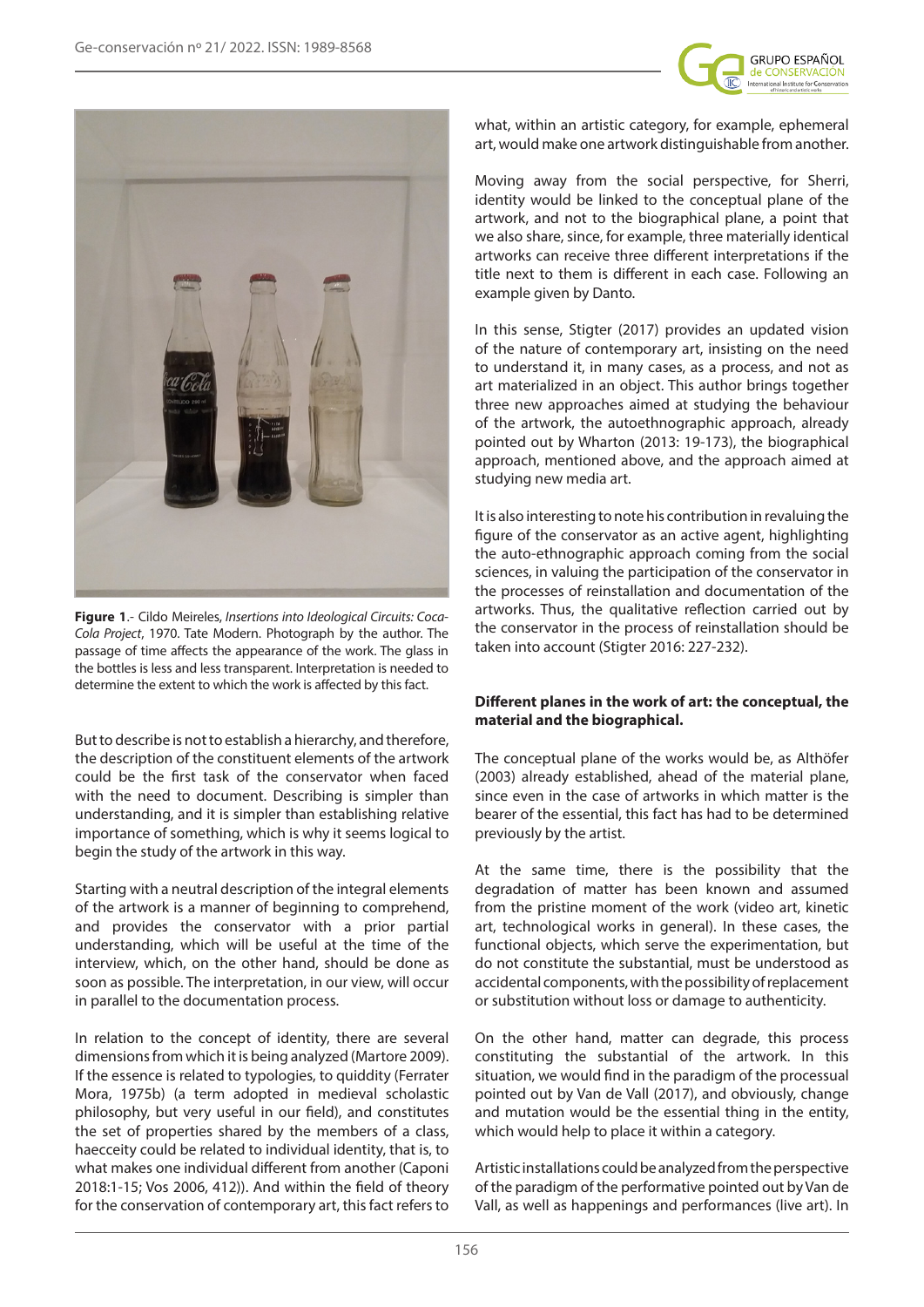



**Figure 1**.- Cildo Meireles, *Insertions into Ideological Circuits: Coca-Cola Project*, 1970. Tate Modern. Photograph by the author. The passage of time affects the appearance of the work. The glass in the bottles is less and less transparent. Interpretation is needed to determine the extent to which the work is affected by this fact.

But to describe is not to establish a hierarchy, and therefore, the description of the constituent elements of the artwork could be the first task of the conservator when faced with the need to document. Describing is simpler than understanding, and it is simpler than establishing relative importance of something, which is why it seems logical to begin the study of the artwork in this way.

Starting with a neutral description of the integral elements of the artwork is a manner of beginning to comprehend, and provides the conservator with a prior partial understanding, which will be useful at the time of the interview, which, on the other hand, should be done as soon as possible. The interpretation, in our view, will occur in parallel to the documentation process.

In relation to the concept of identity, there are several dimensions from which it is being analyzed (Martore 2009). If the essence is related to typologies, to quiddity (Ferrater Mora, 1975b) (a term adopted in medieval scholastic philosophy, but very useful in our field), and constitutes the set of properties shared by the members of a class, haecceity could be related to individual identity, that is, to what makes one individual different from another (Caponi 2018:1-15; Vos 2006, 412)). And within the field of theory for the conservation of contemporary art, this fact refers to

what, within an artistic category, for example, ephemeral art, would make one artwork distinguishable from another.

Moving away from the social perspective, for Sherri, identity would be linked to the conceptual plane of the artwork, and not to the biographical plane, a point that we also share, since, for example, three materially identical artworks can receive three different interpretations if the title next to them is different in each case. Following an example given by Danto.

In this sense, Stigter (2017) provides an updated vision of the nature of contemporary art, insisting on the need to understand it, in many cases, as a process, and not as art materialized in an object. This author brings together three new approaches aimed at studying the behaviour of the artwork, the autoethnographic approach, already pointed out by Wharton (2013: 19-173), the biographical approach, mentioned above, and the approach aimed at studying new media art.

It is also interesting to note his contribution in revaluing the figure of the conservator as an active agent, highlighting the auto-ethnographic approach coming from the social sciences, in valuing the participation of the conservator in the processes of reinstallation and documentation of the artworks. Thus, the qualitative reflection carried out by the conservator in the process of reinstallation should be taken into account (Stigter 2016: 227-232).

# **Different planes in the work of art: the conceptual, the material and the biographical.**

The conceptual plane of the works would be, as Althöfer (2003) already established, ahead of the material plane, since even in the case of artworks in which matter is the bearer of the essential, this fact has had to be determined previously by the artist.

At the same time, there is the possibility that the degradation of matter has been known and assumed from the pristine moment of the work (video art, kinetic art, technological works in general). In these cases, the functional objects, which serve the experimentation, but do not constitute the substantial, must be understood as accidental components, with the possibility of replacement or substitution without loss or damage to authenticity.

On the other hand, matter can degrade, this process constituting the substantial of the artwork. In this situation, we would find in the paradigm of the processual pointed out by Van de Vall (2017), and obviously, change and mutation would be the essential thing in the entity, which would help to place it within a category.

Artistic installations could be analyzed from the perspective of the paradigm of the performative pointed out by Van de Vall, as well as happenings and performances (live art). In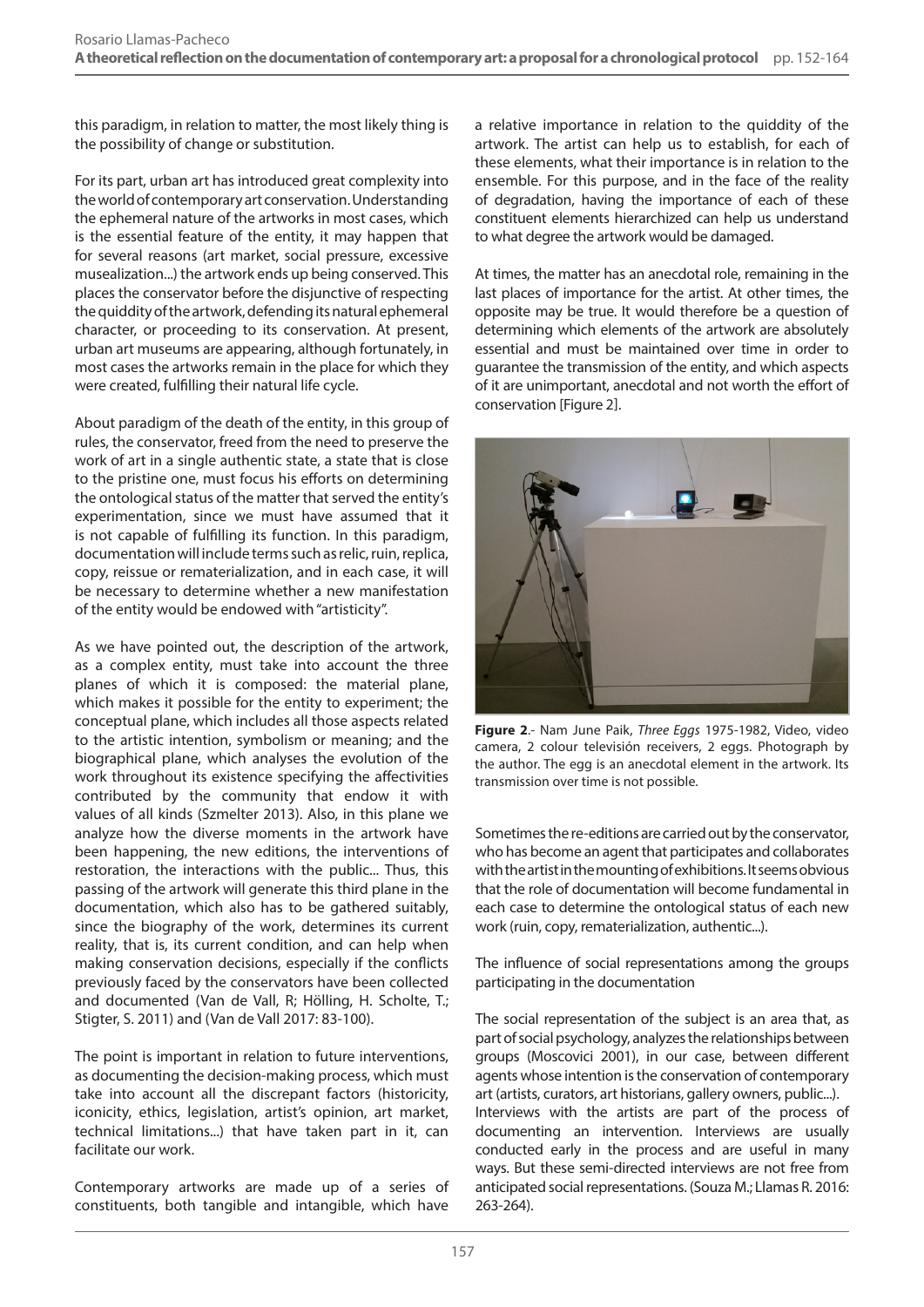this paradigm, in relation to matter, the most likely thing is the possibility of change or substitution.

For its part, urban art has introduced great complexity into the world of contemporary art conservation. Understanding the ephemeral nature of the artworks in most cases, which is the essential feature of the entity, it may happen that for several reasons (art market, social pressure, excessive musealization...) the artwork ends up being conserved. This places the conservator before the disjunctive of respecting the quiddity of the artwork, defending its natural ephemeral character, or proceeding to its conservation. At present, urban art museums are appearing, although fortunately, in most cases the artworks remain in the place for which they were created, fulfilling their natural life cycle.

About paradigm of the death of the entity, in this group of rules, the conservator, freed from the need to preserve the work of art in a single authentic state, a state that is close to the pristine one, must focus his efforts on determining the ontological status of the matter that served the entity's experimentation, since we must have assumed that it is not capable of fulfilling its function. In this paradigm, documentation will include terms such as relic, ruin, replica, copy, reissue or rematerialization, and in each case, it will be necessary to determine whether a new manifestation of the entity would be endowed with "artisticity".

As we have pointed out, the description of the artwork, as a complex entity, must take into account the three planes of which it is composed: the material plane, which makes it possible for the entity to experiment; the conceptual plane, which includes all those aspects related to the artistic intention, symbolism or meaning; and the biographical plane, which analyses the evolution of the work throughout its existence specifying the affectivities contributed by the community that endow it with values of all kinds (Szmelter 2013). Also, in this plane we analyze how the diverse moments in the artwork have been happening, the new editions, the interventions of restoration, the interactions with the public... Thus, this passing of the artwork will generate this third plane in the documentation, which also has to be gathered suitably, since the biography of the work, determines its current reality, that is, its current condition, and can help when making conservation decisions, especially if the conflicts previously faced by the conservators have been collected and documented (Van de Vall, R; Hölling, H. Scholte, T.; Stigter, S. 2011) and (Van de Vall 2017: 83-100).

The point is important in relation to future interventions, as documenting the decision-making process, which must take into account all the discrepant factors (historicity, iconicity, ethics, legislation, artist's opinion, art market, technical limitations...) that have taken part in it, can facilitate our work.

Contemporary artworks are made up of a series of constituents, both tangible and intangible, which have

a relative importance in relation to the quiddity of the artwork. The artist can help us to establish, for each of these elements, what their importance is in relation to the ensemble. For this purpose, and in the face of the reality of degradation, having the importance of each of these constituent elements hierarchized can help us understand to what degree the artwork would be damaged.

At times, the matter has an anecdotal role, remaining in the last places of importance for the artist. At other times, the opposite may be true. It would therefore be a question of determining which elements of the artwork are absolutely essential and must be maintained over time in order to guarantee the transmission of the entity, and which aspects of it are unimportant, anecdotal and not worth the effort of conservation [Figure 2].



**Figure 2**.- Nam June Paik, *Three Eggs* 1975-1982, Video, video camera, 2 colour televisión receivers, 2 eggs. Photograph by the author. The egg is an anecdotal element in the artwork. Its transmission over time is not possible.

Sometimes the re-editions are carried out by the conservator, who has become an agent that participates and collaborates with the artist in the mounting of exhibitions. It seems obvious that the role of documentation will become fundamental in each case to determine the ontological status of each new work (ruin, copy, rematerialization, authentic...).

The influence of social representations among the groups participating in the documentation

The social representation of the subject is an area that, as part of social psychology, analyzes the relationships between groups (Moscovici 2001), in our case, between different agents whose intention is the conservation of contemporary art (artists, curators, art historians, gallery owners, public...). Interviews with the artists are part of the process of documenting an intervention. Interviews are usually conducted early in the process and are useful in many ways. But these semi-directed interviews are not free from anticipated social representations. (Souza M.; Llamas R. 2016: 263-264).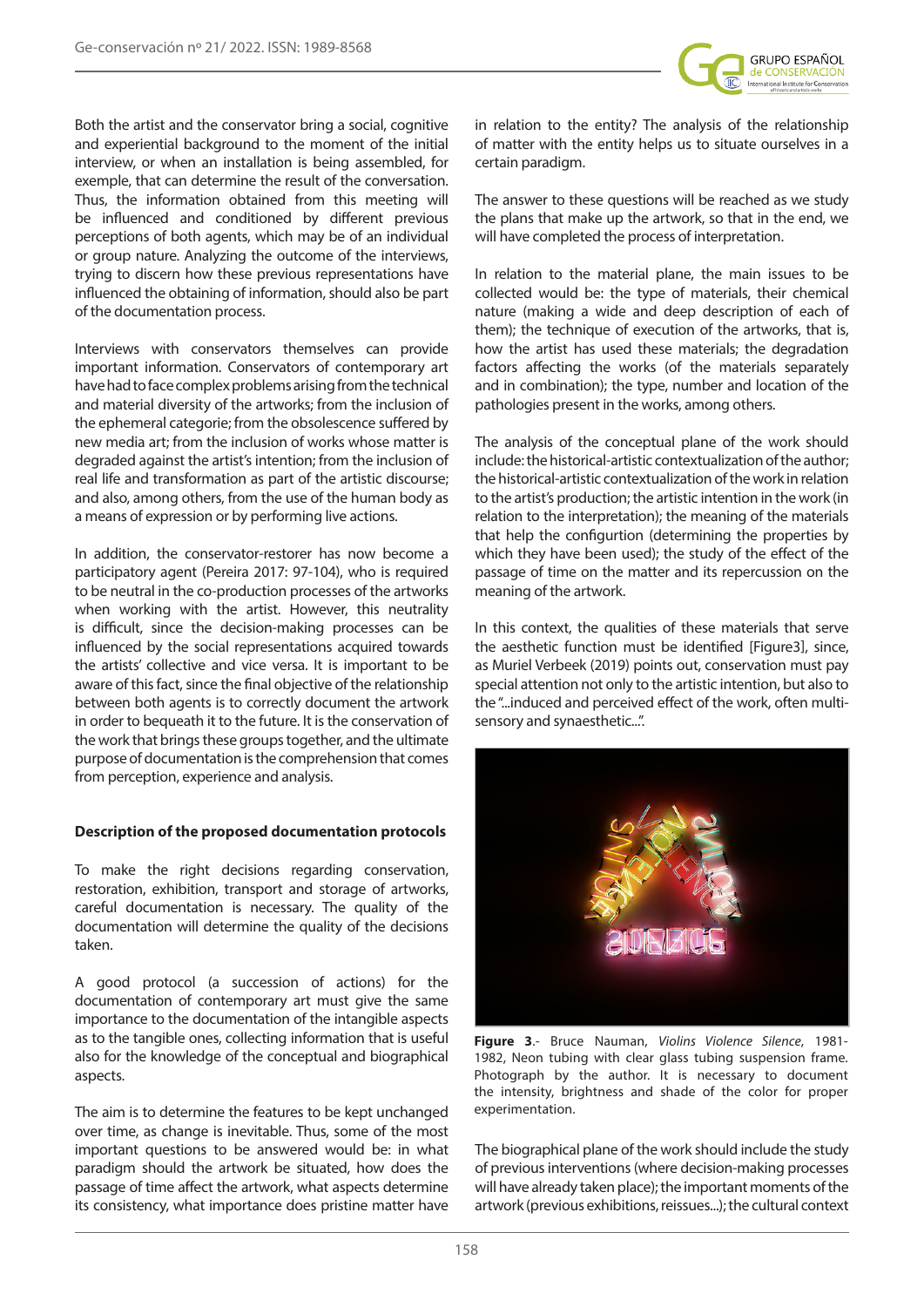

Both the artist and the conservator bring a social, cognitive and experiential background to the moment of the initial interview, or when an installation is being assembled, for exemple, that can determine the result of the conversation. Thus, the information obtained from this meeting will be influenced and conditioned by different previous perceptions of both agents, which may be of an individual or group nature. Analyzing the outcome of the interviews, trying to discern how these previous representations have influenced the obtaining of information, should also be part of the documentation process.

Interviews with conservators themselves can provide important information. Conservators of contemporary art have had to face complex problems arising from the technical and material diversity of the artworks; from the inclusion of the ephemeral categorie; from the obsolescence suffered by new media art; from the inclusion of works whose matter is degraded against the artist's intention; from the inclusion of real life and transformation as part of the artistic discourse; and also, among others, from the use of the human body as a means of expression or by performing live actions.

In addition, the conservator-restorer has now become a participatory agent (Pereira 2017: 97-104), who is required to be neutral in the co-production processes of the artworks when working with the artist. However, this neutrality is difficult, since the decision-making processes can be influenced by the social representations acquired towards the artists' collective and vice versa. It is important to be aware of this fact, since the final objective of the relationship between both agents is to correctly document the artwork in order to bequeath it to the future. It is the conservation of the work that brings these groups together, and the ultimate purpose of documentation is the comprehension that comes from perception, experience and analysis.

## **Description of the proposed documentation protocols**

To make the right decisions regarding conservation, restoration, exhibition, transport and storage of artworks, careful documentation is necessary. The quality of the documentation will determine the quality of the decisions taken.

A good protocol (a succession of actions) for the documentation of contemporary art must give the same importance to the documentation of the intangible aspects as to the tangible ones, collecting information that is useful also for the knowledge of the conceptual and biographical aspects.

The aim is to determine the features to be kept unchanged over time, as change is inevitable. Thus, some of the most important questions to be answered would be: in what paradigm should the artwork be situated, how does the passage of time affect the artwork, what aspects determine its consistency, what importance does pristine matter have

in relation to the entity? The analysis of the relationship of matter with the entity helps us to situate ourselves in a certain paradigm.

The answer to these questions will be reached as we study the plans that make up the artwork, so that in the end, we will have completed the process of interpretation.

In relation to the material plane, the main issues to be collected would be: the type of materials, their chemical nature (making a wide and deep description of each of them); the technique of execution of the artworks, that is, how the artist has used these materials; the degradation factors affecting the works (of the materials separately and in combination); the type, number and location of the pathologies present in the works, among others.

The analysis of the conceptual plane of the work should include: the historical-artistic contextualization of the author; the historical-artistic contextualization of the work in relation to the artist's production; the artistic intention in the work (in relation to the interpretation); the meaning of the materials that help the configurtion (determining the properties by which they have been used); the study of the effect of the passage of time on the matter and its repercussion on the meaning of the artwork.

In this context, the qualities of these materials that serve the aesthetic function must be identified [Figure3], since, as Muriel Verbeek (2019) points out, conservation must pay special attention not only to the artistic intention, but also to the "...induced and perceived effect of the work, often multisensory and synaesthetic...".



**Figure 3**.- Bruce Nauman, *Violins Violence Silence*, 1981- 1982, Neon tubing with clear glass tubing suspension frame. Photograph by the author. It is necessary to document the intensity, brightness and shade of the color for proper experimentation.

The biographical plane of the work should include the study of previous interventions (where decision-making processes will have already taken place); the important moments of the artwork (previous exhibitions, reissues...); the cultural context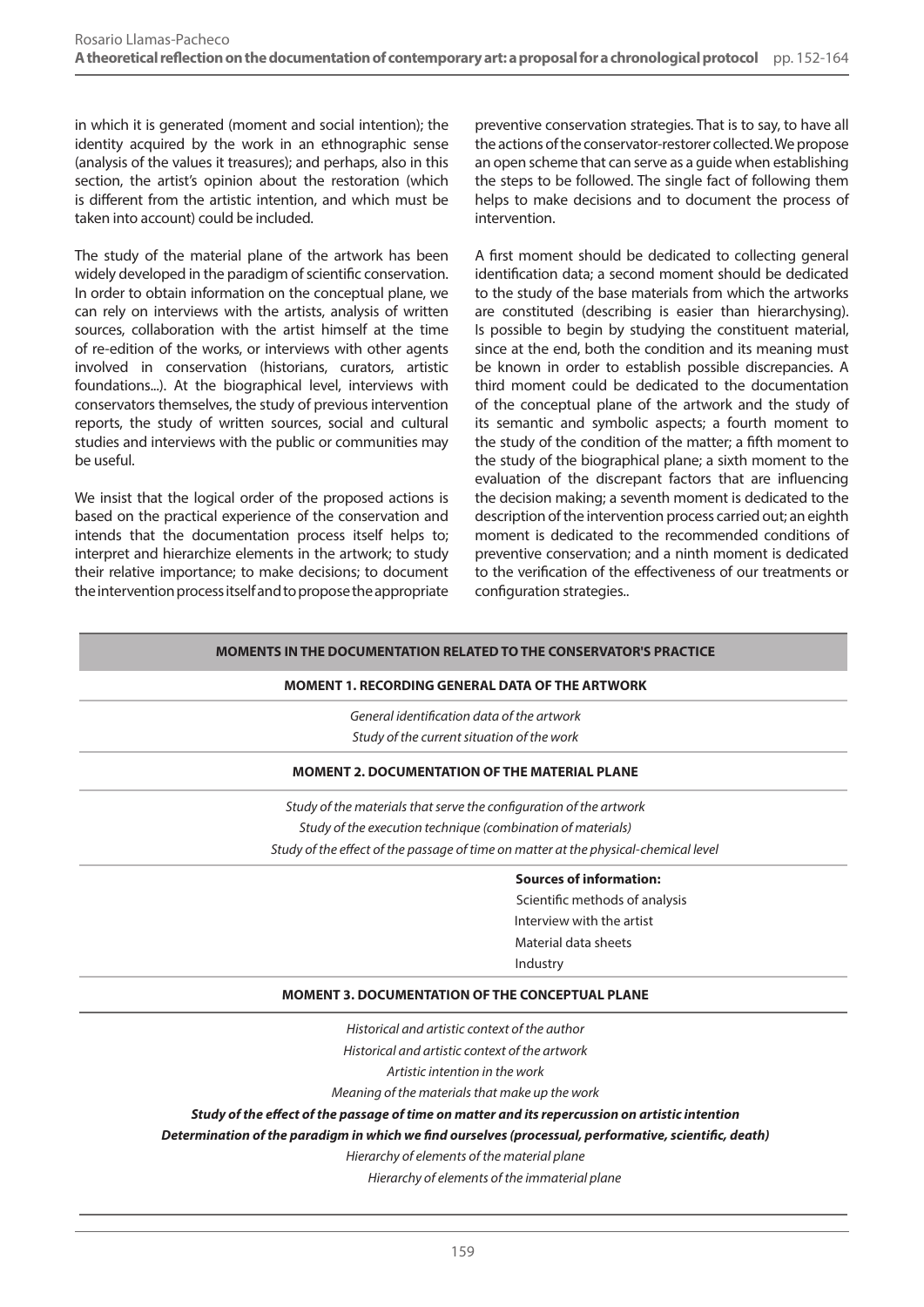in which it is generated (moment and social intention); the identity acquired by the work in an ethnographic sense (analysis of the values it treasures); and perhaps, also in this section, the artist's opinion about the restoration (which is different from the artistic intention, and which must be taken into account) could be included.

The study of the material plane of the artwork has been widely developed in the paradigm of scientific conservation. In order to obtain information on the conceptual plane, we can rely on interviews with the artists, analysis of written sources, collaboration with the artist himself at the time of re-edition of the works, or interviews with other agents involved in conservation (historians, curators, artistic foundations...). At the biographical level, interviews with conservators themselves, the study of previous intervention reports, the study of written sources, social and cultural studies and interviews with the public or communities may be useful.

We insist that the logical order of the proposed actions is based on the practical experience of the conservation and intends that the documentation process itself helps to; interpret and hierarchize elements in the artwork; to study their relative importance; to make decisions; to document the intervention process itself and to propose the appropriate

preventive conservation strategies. That is to say, to have all the actions of the conservator-restorer collected. We propose an open scheme that can serve as a guide when establishing the steps to be followed. The single fact of following them helps to make decisions and to document the process of intervention.

A first moment should be dedicated to collecting general identification data; a second moment should be dedicated to the study of the base materials from which the artworks are constituted (describing is easier than hierarchysing). Is possible to begin by studying the constituent material, since at the end, both the condition and its meaning must be known in order to establish possible discrepancies. A third moment could be dedicated to the documentation of the conceptual plane of the artwork and the study of its semantic and symbolic aspects; a fourth moment to the study of the condition of the matter; a fifth moment to the study of the biographical plane; a sixth moment to the evaluation of the discrepant factors that are influencing the decision making; a seventh moment is dedicated to the description of the intervention process carried out; an eighth moment is dedicated to the recommended conditions of preventive conservation; and a ninth moment is dedicated to the verification of the effectiveness of our treatments or configuration strategies..

## **MOMENTS IN THE DOCUMENTATION RELATED TO THE CONSERVATOR'S PRACTICE**

#### **MOMENT 1. RECORDING GENERAL DATA OF THE ARTWORK**

*General identification data of the artwork Study of the current situation of the work*

## **MOMENT 2. DOCUMENTATION OF THE MATERIAL PLANE**

*Study of the materials that serve the configuration of the artwork Study of the execution technique (combination of materials) Study of the effect of the passage of time on matter at the physical-chemical level*

#### **Sources of information:**

 Scientific methods of analysis Interview with the artist Material data sheets Industry

## **MOMENT 3. DOCUMENTATION OF THE CONCEPTUAL PLANE**

*Historical and artistic context of the author*

*Historical and artistic context of the artwork* 

*Artistic intention in the work*

*Meaning of the materials that make up the work*

*Study of the effect of the passage of time on matter and its repercussion on artistic intention*

*Determination of the paradigm in which we find ourselves (processual, performative, scientific, death)*

*Hierarchy of elements of the material plane*

 *Hierarchy of elements of the immaterial plane*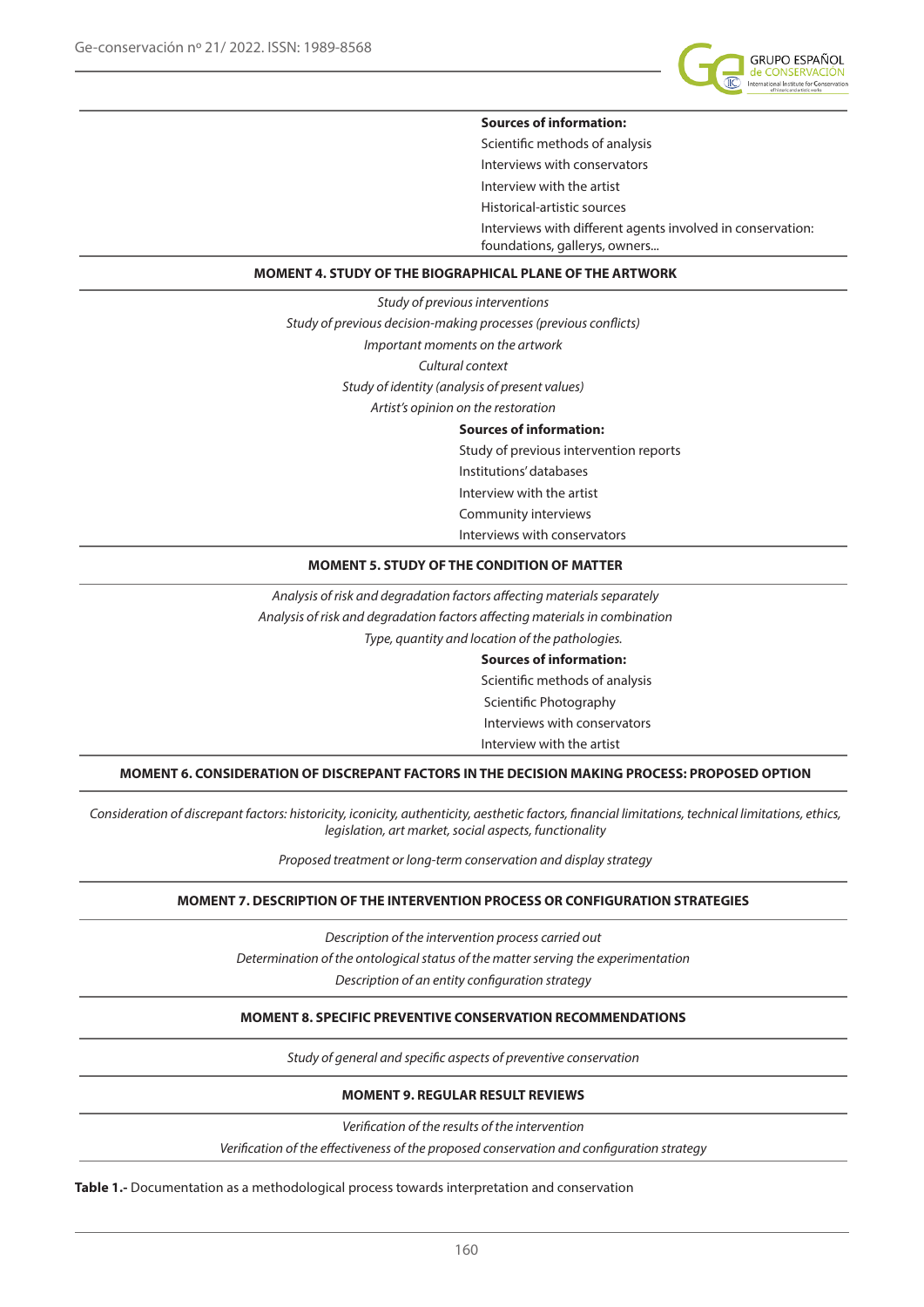

#### **Sources of information:**

Scientific methods of analysis Interviews with conservators Interview with the artist Historical-artistic sources Interviews with different agents involved in conservation: foundations, gallerys, owners...

### **MOMENT 4. STUDY OF THE BIOGRAPHICAL PLANE OF THE ARTWORK**

*Study of previous interventions Study of previous decision-making processes (previous conflicts) Important moments on the artwork Cultural context Study of identity (analysis of present values) Artist's opinion on the restoration* 

#### **Sources of information:**

Study of previous intervention reports Institutions' databases Interview with the artist Community interviews Interviews with conservators

#### **MOMENT 5. STUDY OF THE CONDITION OF MATTER**

*Analysis of risk and degradation factors affecting materials separately Analysis of risk and degradation factors affecting materials in combination Type, quantity and location of the pathologies.* 

#### **Sources of information:**

Scientific methods of analysis Scientific Photography Interviews with conservators Interview with the artist

**MOMENT 6. CONSIDERATION OF DISCREPANT FACTORS IN THE DECISION MAKING PROCESS: PROPOSED OPTION**

*Consideration of discrepant factors: historicity, iconicity, authenticity, aesthetic factors, financial limitations, technical limitations, ethics, legislation, art market, social aspects, functionality*

*Proposed treatment or long-term conservation and display strategy*

#### **MOMENT 7. DESCRIPTION OF THE INTERVENTION PROCESS OR CONFIGURATION STRATEGIES**

*Description of the intervention process carried out Determination of the ontological status of the matter serving the experimentation Description of an entity configuration strategy*

#### **MOMENT 8. SPECIFIC PREVENTIVE CONSERVATION RECOMMENDATIONS**

*Study of general and specific aspects of preventive conservation*

#### **MOMENT 9. REGULAR RESULT REVIEWS**

*Verification of the results of the intervention*

*Verification of the effectiveness of the proposed conservation and configuration strategy*

**Table 1.-** Documentation as a methodological process towards interpretation and conservation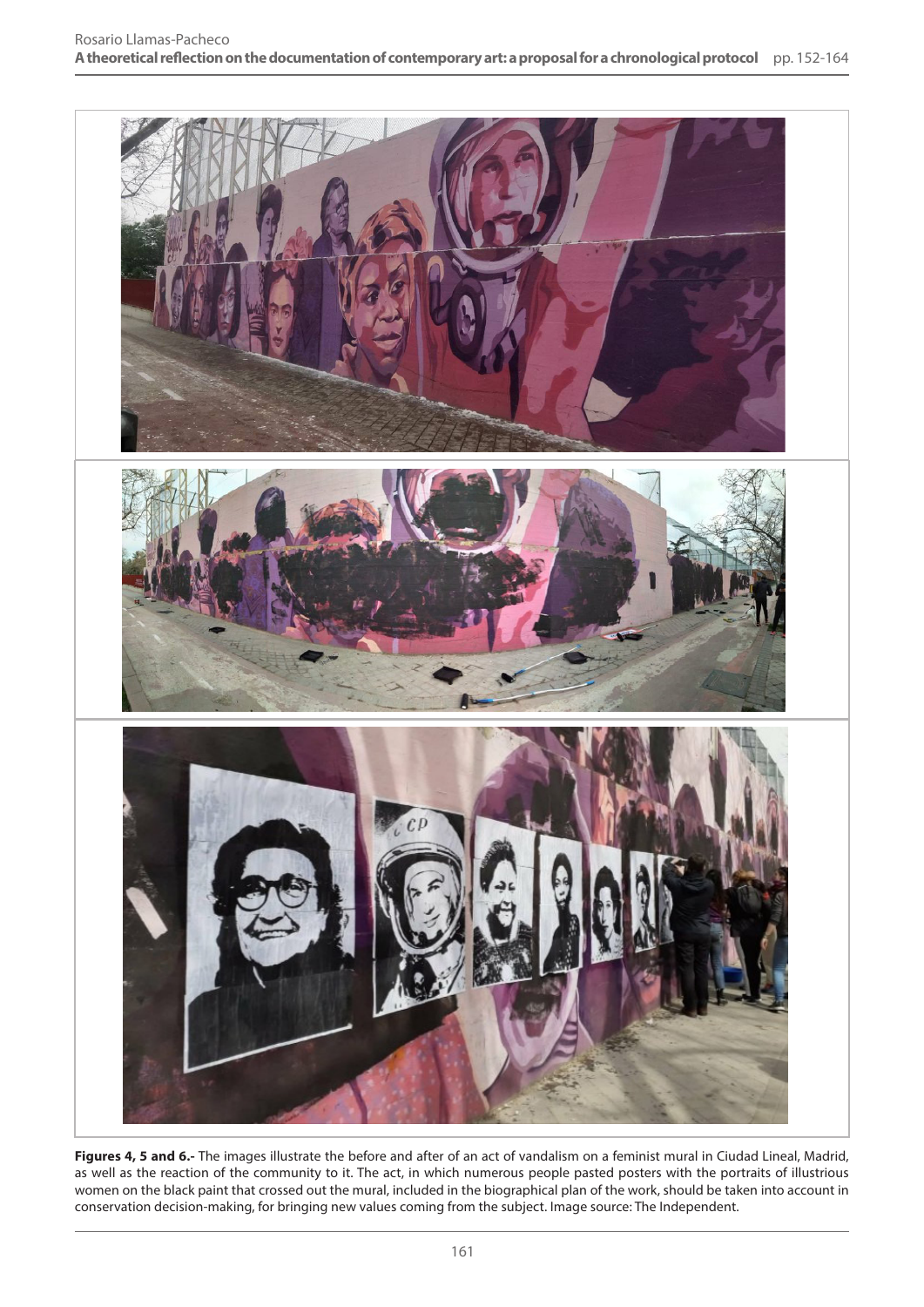

Figures 4, 5 and 6.- The images illustrate the before and after of an act of vandalism on a feminist mural in Ciudad Lineal, Madrid, as well as the reaction of the community to it. The act, in which numerous people pasted posters with the portraits of illustrious women on the black paint that crossed out the mural, included in the biographical plan of the work, should be taken into account in conservation decision-making, for bringing new values coming from the subject. Image source: The Independent.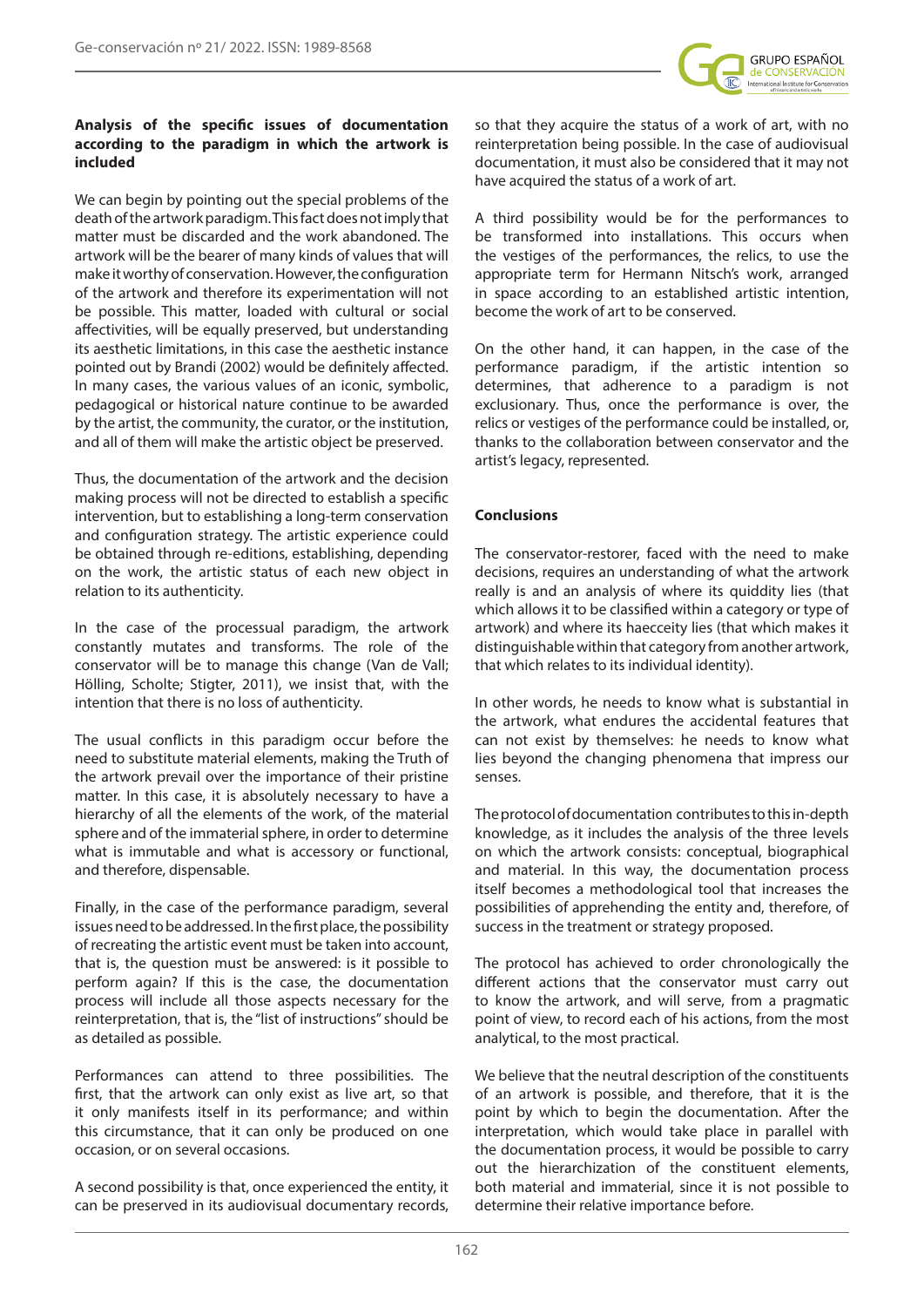

## **Analysis of the specific issues of documentation according to the paradigm in which the artwork is included**

We can begin by pointing out the special problems of the death of the artwork paradigm. This fact does not imply that matter must be discarded and the work abandoned. The artwork will be the bearer of many kinds of values that will make it worthy of conservation. However, the configuration of the artwork and therefore its experimentation will not be possible. This matter, loaded with cultural or social affectivities, will be equally preserved, but understanding its aesthetic limitations, in this case the aesthetic instance pointed out by Brandi (2002) would be definitely affected. In many cases, the various values of an iconic, symbolic, pedagogical or historical nature continue to be awarded by the artist, the community, the curator, or the institution, and all of them will make the artistic object be preserved.

Thus, the documentation of the artwork and the decision making process will not be directed to establish a specific intervention, but to establishing a long-term conservation and configuration strategy. The artistic experience could be obtained through re-editions, establishing, depending on the work, the artistic status of each new object in relation to its authenticity.

In the case of the processual paradigm, the artwork constantly mutates and transforms. The role of the conservator will be to manage this change (Van de Vall; Hölling, Scholte; Stigter, 2011), we insist that, with the intention that there is no loss of authenticity.

The usual conflicts in this paradigm occur before the need to substitute material elements, making the Truth of the artwork prevail over the importance of their pristine matter. In this case, it is absolutely necessary to have a hierarchy of all the elements of the work, of the material sphere and of the immaterial sphere, in order to determine what is immutable and what is accessory or functional, and therefore, dispensable.

Finally, in the case of the performance paradigm, several issues need to be addressed. In the first place, the possibility of recreating the artistic event must be taken into account, that is, the question must be answered: is it possible to perform again? If this is the case, the documentation process will include all those aspects necessary for the reinterpretation, that is, the "list of instructions" should be as detailed as possible.

Performances can attend to three possibilities. The first, that the artwork can only exist as live art, so that it only manifests itself in its performance; and within this circumstance, that it can only be produced on one occasion, or on several occasions.

A second possibility is that, once experienced the entity, it can be preserved in its audiovisual documentary records,

so that they acquire the status of a work of art, with no reinterpretation being possible. In the case of audiovisual documentation, it must also be considered that it may not have acquired the status of a work of art.

A third possibility would be for the performances to be transformed into installations. This occurs when the vestiges of the performances, the relics, to use the appropriate term for Hermann Nitsch's work, arranged in space according to an established artistic intention, become the work of art to be conserved.

On the other hand, it can happen, in the case of the performance paradigm, if the artistic intention so determines, that adherence to a paradigm is not exclusionary. Thus, once the performance is over, the relics or vestiges of the performance could be installed, or, thanks to the collaboration between conservator and the artist's legacy, represented.

# **Conclusions**

The conservator-restorer, faced with the need to make decisions, requires an understanding of what the artwork really is and an analysis of where its quiddity lies (that which allows it to be classified within a category or type of artwork) and where its haecceity lies (that which makes it distinguishable within that category from another artwork, that which relates to its individual identity).

In other words, he needs to know what is substantial in the artwork, what endures the accidental features that can not exist by themselves: he needs to know what lies beyond the changing phenomena that impress our senses.

The protocol of documentation contributes to this in-depth knowledge, as it includes the analysis of the three levels on which the artwork consists: conceptual, biographical and material. In this way, the documentation process itself becomes a methodological tool that increases the possibilities of apprehending the entity and, therefore, of success in the treatment or strategy proposed.

The protocol has achieved to order chronologically the different actions that the conservator must carry out to know the artwork, and will serve, from a pragmatic point of view, to record each of his actions, from the most analytical, to the most practical.

We believe that the neutral description of the constituents of an artwork is possible, and therefore, that it is the point by which to begin the documentation. After the interpretation, which would take place in parallel with the documentation process, it would be possible to carry out the hierarchization of the constituent elements, both material and immaterial, since it is not possible to determine their relative importance before.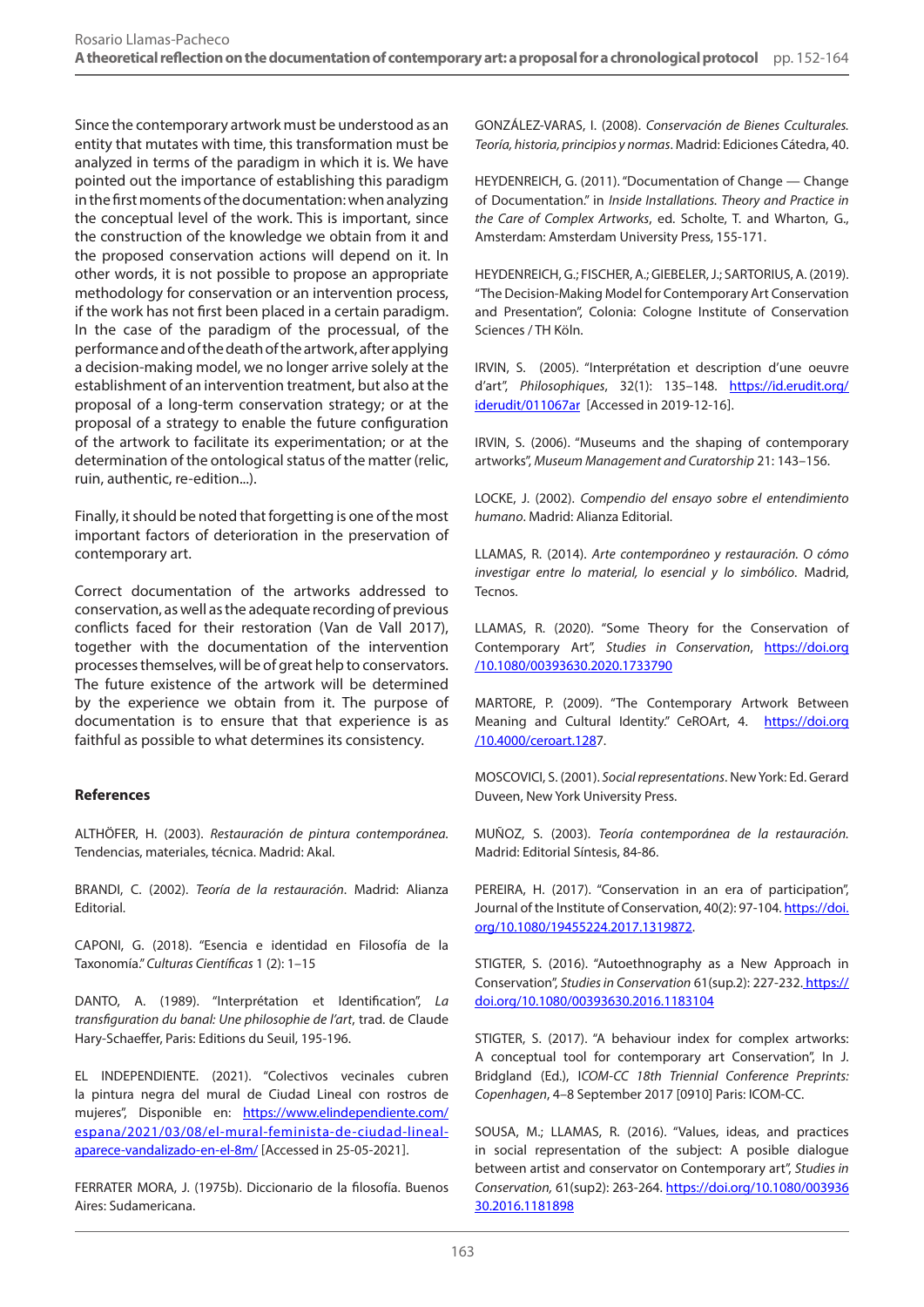Since the contemporary artwork must be understood as an entity that mutates with time, this transformation must be analyzed in terms of the paradigm in which it is. We have pointed out the importance of establishing this paradigm in the first moments of the documentation: when analyzing the conceptual level of the work. This is important, since the construction of the knowledge we obtain from it and the proposed conservation actions will depend on it. In other words, it is not possible to propose an appropriate methodology for conservation or an intervention process, if the work has not first been placed in a certain paradigm. In the case of the paradigm of the processual, of the performance and of the death of the artwork, after applying a decision-making model, we no longer arrive solely at the establishment of an intervention treatment, but also at the proposal of a long-term conservation strategy; or at the proposal of a strategy to enable the future configuration of the artwork to facilitate its experimentation; or at the determination of the ontological status of the matter (relic, ruin, authentic, re-edition...).

Finally, it should be noted that forgetting is one of the most important factors of deterioration in the preservation of contemporary art.

Correct documentation of the artworks addressed to conservation, as well as the adequate recording of previous conflicts faced for their restoration (Van de Vall 2017), together with the documentation of the intervention processes themselves, will be of great help to conservators. The future existence of the artwork will be determined by the experience we obtain from it. The purpose of documentation is to ensure that that experience is as faithful as possible to what determines its consistency.

# **References**

ALTHÖFER, H. (2003). *Restauración de pintura contemporánea.* Tendencias, materiales, técnica. Madrid: Akal.

BRANDI, C. (2002). *Teoría de la restauración*. Madrid: Alianza Editorial.

CAPONI, G. (2018). "Esencia e identidad en Filosofía de la Taxonomía." *Culturas Científicas* 1 (2): 1–15

DANTO, A. (1989). "Interprétation et Identification", *La transfiguration du banal: Une philosophie de l'art*, trad. de Claude Hary-Schaeffer, Paris: Editions du Seuil, 195-196.

EL INDEPENDIENTE. (2021). "Colectivos vecinales cubren la pintura negra del mural de Ciudad Lineal con rostros de mujeres", Disponible en: [https://www.elindependiente.com/](https://www.elindependiente.com/espana/2021/03/08/el-mural-feminista-de-ciudad-lineal-aparece-vandal) [espana/2021/03/08/el-mural-feminista-de-ciudad-lineal](https://www.elindependiente.com/espana/2021/03/08/el-mural-feminista-de-ciudad-lineal-aparece-vandal)[aparece-vandalizado-en-el-8m/](https://www.elindependiente.com/espana/2021/03/08/el-mural-feminista-de-ciudad-lineal-aparece-vandal) [Accessed in 25-05-2021].

FERRATER MORA, J. (1975b). Diccionario de la filosofía. Buenos Aires: Sudamericana.

GONZÁLEZ-VARAS, I. (2008). *Conservación de Bienes Cculturales. Teoría, historia, principios y normas*. Madrid: Ediciones Cátedra, 40.

HEYDENREICH, G. (2011). "Documentation of Change — Change of Documentation." in *Inside Installations. Theory and Practice in the Care of Complex Artworks*, ed. Scholte, T. and Wharton, G., Amsterdam: Amsterdam University Press, 155-171.

HEYDENREICH, G.; FISCHER, A.; GIEBELER, J.; SARTORIUS, A. (2019). "The Decision-Making Model for Contemporary Art Conservation and Presentation", Colonia: Cologne Institute of Conservation Sciences / TH Köln.

IRVIN, S. (2005). "Interprétation et description d'une oeuvre d'art", *Philosophiques*, 32(1): 135–148. [https://id.erudit.org/](https://id.erudit.org/iderudit/011067ar) [iderudit/011067ar](https://id.erudit.org/iderudit/011067ar) [Accessed in 2019-12-16].

IRVIN, S. (2006). "Museums and the shaping of contemporary artworks", *Museum Management and Curatorship* 21: 143–156.

LOCKE, J. (2002). *Compendio del ensayo sobre el entendimiento humano*. Madrid: Alianza Editorial.

LLAMAS, R. (2014). *Arte contemporáneo y restauración. O cómo investigar entre lo material, lo esencial y lo simbólico*. Madrid, Tecnos.

LLAMAS, R. (2020). "Some Theory for the Conservation of Contemporary Art", *Studies in Conservation*, [https://doi.org](https://doi.org /10.1080/00393630.2020.1733790) [/10.1080/00393630.2020.1733790](https://doi.org /10.1080/00393630.2020.1733790)

MARTORE, P. (2009). "The Contemporary Artwork Between Meaning and Cultural Identity." CeROArt, 4. [https://doi.org](https://doi.org /10.4000/ceroart.128) [/10.4000/ceroart.128](https://doi.org /10.4000/ceroart.128)7.

MOSCOVICI, S. (2001). *Social representations*. New York: Ed. Gerard Duveen, New York University Press.

MUÑOZ, S. (2003). *Teoría contemporánea de la restauración.* Madrid: Editorial Síntesis, 84-86.

PEREIRA, H. (2017). "Conservation in an era of participation", Journal of the Institute of Conservation, 40(2): 97-104. [https://doi.](https://doi.org/10.1080/19455224.2017.1319872) [org/10.1080/19455224.2017.1319872](https://doi.org/10.1080/19455224.2017.1319872).

STIGTER, S. (2016). "Autoethnography as a New Approach in Conservation", *Studies in Conservation* 61(sup.2): 227-232. [https://]( https://doi.org/10.1080/00393630.2016.1183104) [doi.org/10.1080/00393630.2016.1183104]( https://doi.org/10.1080/00393630.2016.1183104)

STIGTER, S. (2017). "A behaviour index for complex artworks: A conceptual tool for contemporary art Conservation", In J. Bridgland (Ed.), I*COM-CC 18th Triennial Conference Preprints: Copenhagen*, 4–8 September 2017 [0910] Paris: ICOM-CC.

SOUSA, M.; LLAMAS, R. (2016). "Values, ideas, and practices in social representation of the subject: A posible dialogue between artist and conservator on Contemporary art", *Studies in Conservation,* 61(sup2): 263-264. [https://doi.org/10.1080/003936](https://doi.org/10.1080/00393630.2016.1181898 ) [30.2016.1181898](https://doi.org/10.1080/00393630.2016.1181898 )